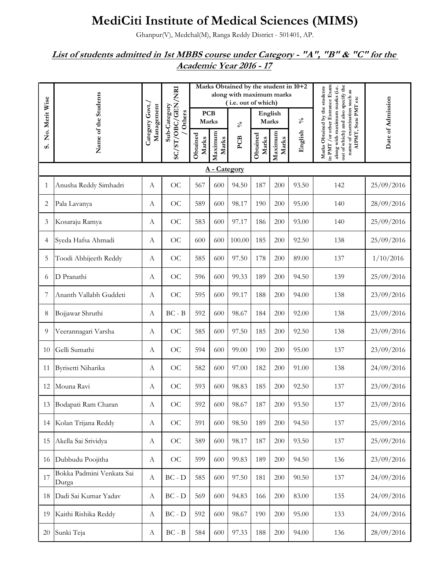## **MediCiti Institute of Medical Sciences (MIMS)**

Ghanpur(V), Medchal(M), Ranga Reddy District - 501401, AP.

## *List of students admitted in 1st MBBS course under Category - "A", "B" & "C" for the Academic Year 2016 - 17*

|                |                                    |                               |                        |                                       |            | Marks Obtained by the student in 10+2<br>along with maximum marks<br>(i.e. out of which) |                  |         |                                                                                                                                                                          |                      |                   |
|----------------|------------------------------------|-------------------------------|------------------------|---------------------------------------|------------|------------------------------------------------------------------------------------------|------------------|---------|--------------------------------------------------------------------------------------------------------------------------------------------------------------------------|----------------------|-------------------|
| No. Merit Wise | Name of the Students               | Category Govt.,<br>Management | Sub-Category<br>Others | <b>PCB</b><br>Marks                   |            | $\mathcal{S}_{\mathbf{0}}$                                                               | English<br>Marks |         | $\mathcal{N}_0$                                                                                                                                                          | AIPMT, State PMT etc | Date of Admission |
| S              |                                    |                               | SC/ST/OBC/GEN/NRI      | Maximum<br>Obtained<br>Marks<br>Marks | <b>PCB</b> | Obtained<br>Marks                                                                        | Maximum<br>Marks | English | in PMT / or other Entrance Exam<br>out of which) and also specify the<br>along with maximum marks (i.e.<br>Marks Obtained by the students<br>name of examination such as |                      |                   |
|                | A - Category                       |                               |                        |                                       |            |                                                                                          |                  |         |                                                                                                                                                                          |                      |                   |
| 1              | Anusha Reddy Simhadri              | $\boldsymbol{A}$              | OC                     | 567                                   | 600        | 94.50                                                                                    | 187              | 200     | 93.50                                                                                                                                                                    | 142                  | 25/09/2016        |
| 2              | Pala Lavanya                       | A                             | OC                     | 589                                   | 600        | 98.17                                                                                    | 190              | 200     | 95.00                                                                                                                                                                    | 140                  | 28/09/2016        |
| 3              | Kosaraju Ramya                     | A                             | OC                     | 583                                   | 600        | 97.17                                                                                    | 186              | 200     | 93.00                                                                                                                                                                    | 140                  | 25/09/2016        |
| 4              | Syeda Hafsa Ahmadi                 | A                             | OC                     | 600                                   | 600        | 100.00                                                                                   | 185              | 200     | 92.50                                                                                                                                                                    | 138                  | 25/09/2016        |
| 5              | Toodi Abhijeeth Reddy              | A                             | OC                     | 585                                   | 600        | 97.50                                                                                    | 178              | 200     | 89.00                                                                                                                                                                    | 137                  | 1/10/2016         |
| 6              | D Pranathi                         | A                             | OC                     | 596                                   | 600        | 99.33                                                                                    | 189              | 200     | 94.50                                                                                                                                                                    | 139                  | 25/09/2016        |
| 7              | Ananth Vallabh Guddeti             | А                             | OC                     | 595                                   | 600        | 99.17                                                                                    | 188              | 200     | 94.00                                                                                                                                                                    | 138                  | 23/09/2016        |
| 8              | Bojjawar Shruthi                   | A                             | $BC - B$               | 592                                   | 600        | 98.67                                                                                    | 184              | 200     | 92.00                                                                                                                                                                    | 138                  | 23/09/2016        |
| 9              | Veerannagari Varsha                | $\boldsymbol{A}$              | OC                     | 585                                   | 600        | 97.50                                                                                    | 185              | 200     | 92.50                                                                                                                                                                    | 138                  | 23/09/2016        |
| 10             | Gelli Sumathi                      | $\boldsymbol{A}$              | OC                     | 594                                   | 600        | 99.00                                                                                    | 190              | 200     | 95.00                                                                                                                                                                    | 137                  | 23/09/2016        |
| 11             | Byrisetti Niharika                 | A                             | OC                     | 582                                   | 600        | 97.00                                                                                    | 182              | 200     | 91.00                                                                                                                                                                    | 138                  | 24/09/2016        |
| 12             | Mouna Ravi                         | А                             | OC                     | 593                                   | 600        | 98.83                                                                                    | 185              | 200     | 92.50                                                                                                                                                                    | 137                  | 23/09/2016        |
|                | 13 Bodapati Ram Charan             | А                             | OC                     | 592                                   | 600        | 98.67                                                                                    | 187              | 200     | 93.50                                                                                                                                                                    | 137                  | 23/09/2016        |
| 14             | Kolan Trijana Reddy                | $\boldsymbol{A}$              | OC                     | 591                                   | 600        | 98.50                                                                                    | 189              | 200     | 94.50                                                                                                                                                                    | 137                  | 25/09/2016        |
| 15             | Akella Sai Srividya                | $\boldsymbol{A}$              | OC                     | 589                                   | 600        | 98.17                                                                                    | 187              | 200     | 93.50                                                                                                                                                                    | 137                  | 25/09/2016        |
| 16             | Dubbudu Poojitha                   | $\boldsymbol{A}$              | OC                     | 599                                   | 600        | 99.83                                                                                    | 189              | 200     | 94.50                                                                                                                                                                    | 136                  | 23/09/2016        |
| 17             | Bokka Padmini Venkata Sai<br>Durga | $\boldsymbol{A}$              | $BC - D$               | 585                                   | 600        | 97.50                                                                                    | 181              | 200     | 90.50                                                                                                                                                                    | 137                  | 24/09/2016        |
| 18             | Dadi Sai Kumar Yadav               | А                             | $BC - D$               | 569                                   | 600        | 94.83                                                                                    | 166              | 200     | 83.00                                                                                                                                                                    | 135                  | 24/09/2016        |
| 19             | Kaithi Rishika Reddy               | A                             | $BC - D$               | 592                                   | 600        | 98.67                                                                                    | 190              | 200     | 95.00                                                                                                                                                                    | 133                  | 24/09/2016        |
| 20             | Sunki Teja                         | $\boldsymbol{A}$              | $BC - B$               | 584                                   | 600        | 97.33                                                                                    | 188              | 200     | 94.00                                                                                                                                                                    | 136                  | 28/09/2016        |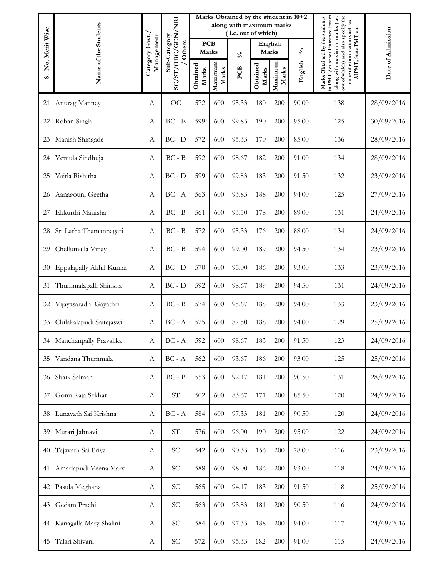|                | Name of the Students     |                               |                            |                     |                  | Marks Obtained by the student in 10+2<br>along with maximum marks<br>(i.e. out of which) |                   |                  |                 |                                                                                                                                                                                                  |                   |
|----------------|--------------------------|-------------------------------|----------------------------|---------------------|------------------|------------------------------------------------------------------------------------------|-------------------|------------------|-----------------|--------------------------------------------------------------------------------------------------------------------------------------------------------------------------------------------------|-------------------|
| No. Merit Wise |                          | Category Govt./<br>Management | Sub-Category<br>Others     | <b>PCB</b><br>Marks |                  | $\mathcal{S}_{\mathbf{0}}$                                                               | English<br>Marks  |                  | $\mathcal{N}_0$ |                                                                                                                                                                                                  |                   |
| S              |                          |                               | SC/ST/OBC/GEN/NRI          | Obtained<br>Marks   | Maximum<br>Marks | PCB                                                                                      | Obtained<br>Marks | Maximum<br>Marks | English         | in PMT / or other Entrance Exam<br>out of which) and also specify the<br>along with maximum marks (i.e.<br>Marks Obtained by the students<br>name of examination such as<br>AIPMT, State PMT etc | Date of Admission |
| 21             | Anurag Manney            | А                             | OC                         | 572                 | 600              | 95.33                                                                                    | 180               | 200              | 90.00           | 138                                                                                                                                                                                              | 28/09/2016        |
| 22             | Rohan Singh              | А                             | $BC - E$                   | 599                 | 600              | 99.83                                                                                    | 190               | 200              | 95.00           | 125                                                                                                                                                                                              | 30/09/2016        |
| 23             | Manish Shingade          | A                             | $BC - D$                   | 572                 | 600              | 95.33                                                                                    | 170               | 200              | 85.00           | 136                                                                                                                                                                                              | 28/09/2016        |
| 24             | Vemula Sindhuja          | A                             | $BC - B$                   | 592                 | 600              | 98.67                                                                                    | 182               | 200              | 91.00           | 134                                                                                                                                                                                              | 28/09/2016        |
| 25             | Vaitla Rishitha          | A                             | $BC - D$                   | 599                 | 600              | 99.83                                                                                    | 183               | 200              | 91.50           | 132                                                                                                                                                                                              | 23/09/2016        |
| 26             | Aanagouni Geetha         | A                             | $BC - A$                   | 563                 | 600              | 93.83                                                                                    | 188               | 200              | 94.00           | 125                                                                                                                                                                                              | 27/09/2016        |
| 27             | Ekkurthi Manisha         | A                             | $BC - B$                   | 561                 | 600              | 93.50                                                                                    | 178               | 200              | 89.00           | 131                                                                                                                                                                                              | 24/09/2016        |
| 28             | Sri Latha Thamannagari   | А                             | $BC - B$                   | 572                 | 600              | 95.33                                                                                    | 176               | 200              | 88.00           | 134                                                                                                                                                                                              | 24/09/2016        |
| 29             | Chellumalla Vinay        | A                             | $BC - B$                   | 594                 | 600              | 99.00                                                                                    | 189               | 200              | 94.50           | 134                                                                                                                                                                                              | 23/09/2016        |
| 30             | Eppalapally Akhil Kumar  | A                             | $BC - D$                   | 570                 | 600              | 95.00                                                                                    | 186               | 200              | 93.00           | 133                                                                                                                                                                                              | 23/09/2016        |
| 31             | Thummalapalli Shirisha   | A                             | $BC - D$                   | 592                 | 600              | 98.67                                                                                    | 189               | 200              | 94.50           | 131                                                                                                                                                                                              | 24/09/2016        |
| 32             | Vijayasaradhi Gayathri   | A                             | $BC - B$                   | 574                 | 600              | 95.67                                                                                    | 188               | 200              | 94.00           | 133                                                                                                                                                                                              | 23/09/2016        |
| 33             | Chilakalapudi Saitejaswi | A                             | $BC - A$                   | 525                 | 600              | 87.50                                                                                    | 188               | 200              | 94.00           | 129                                                                                                                                                                                              | 25/09/2016        |
| 34             | Manchanpally Pravalika   | A                             | $BC - A$                   | 592                 | 600              | 98.67                                                                                    | 183               | 200              | 91.50           | 123                                                                                                                                                                                              | 24/09/2016        |
| 35             | Vandana Thummala         | A                             | $BC - A$                   | 562                 | 600              | 93.67                                                                                    | 186               | 200              | 93.00           | 125                                                                                                                                                                                              | 25/09/2016        |
| $36\,$         | Shaik Salman             | А                             | $BC - B$                   | 553                 | 600              | 92.17                                                                                    | 181               | 200              | 90.50           | 131                                                                                                                                                                                              | 28/09/2016        |
| 37             | Gonu Raja Sekhar         | $\boldsymbol{A}$              | $\operatorname{ST}$        | 502                 | 600              | 83.67                                                                                    | 171               | 200              | 85.50           | 120                                                                                                                                                                                              | 24/09/2016        |
| 38             | Lunavath Sai Krishna     | A                             | $BC - A$                   | 584                 | 600              | 97.33                                                                                    | 181               | 200              | 90.50           | 120                                                                                                                                                                                              | 24/09/2016        |
| 39             | Murari Jahnavi           | $\boldsymbol{A}$              | $\ensuremath{\mathrm{ST}}$ | 576                 | 600              | 96.00                                                                                    | 190               | 200              | 95.00           | 122                                                                                                                                                                                              | 24/09/2016        |
| 40             | Tejavath Sai Priya       | A                             | $\ensuremath{\mathbf{SC}}$ | 542                 | 600              | 90.33                                                                                    | 156               | 200              | 78.00           | 116                                                                                                                                                                                              | 23/09/2016        |
| 41             | Amarlapudi Veena Mary    | $\boldsymbol{A}$              | <b>SC</b>                  | 588                 | 600              | 98.00                                                                                    | 186               | 200              | 93.00           | 118                                                                                                                                                                                              | 24/09/2016        |
| 42             | Pasula Meghana           | $\boldsymbol{\mathrm{A}}$     | $\ensuremath{\mathbf{SC}}$ | 565                 | 600              | 94.17                                                                                    | 183               | 200              | 91.50           | 118                                                                                                                                                                                              | 25/09/2016        |
| 43             | Gedam Prachi             | A                             | <b>SC</b>                  | 563                 | 600              | 93.83                                                                                    | 181               | 200              | 90.50           | 116                                                                                                                                                                                              | 24/09/2016        |
| 44             | Kanagalla Mary Shalini   | $\boldsymbol{A}$              | SC                         | 584                 | 600              | 97.33                                                                                    | 188               | 200              | 94.00           | 117                                                                                                                                                                                              | 24/09/2016        |
| 45             | Talari Shivani           | $\boldsymbol{A}$              | $\ensuremath{\mathsf{SC}}$ | 572                 | 600              | 95.33                                                                                    | 182               | 200              | 91.00           | 115                                                                                                                                                                                              | 24/09/2016        |
|                |                          |                               |                            |                     |                  |                                                                                          |                   |                  |                 |                                                                                                                                                                                                  |                   |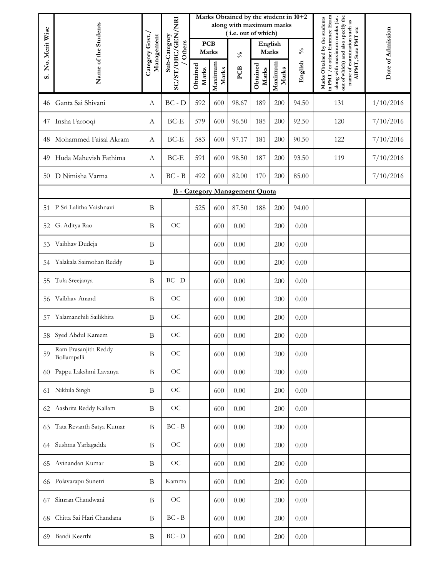|                | Name of the Students                |                  |                                          |                     |                  | Marks Obtained by the student in 10+2<br>along with maximum marks<br>(i.e. out of which) |                   |                  |                 |                                                                                                                                                                          |                   |
|----------------|-------------------------------------|------------------|------------------------------------------|---------------------|------------------|------------------------------------------------------------------------------------------|-------------------|------------------|-----------------|--------------------------------------------------------------------------------------------------------------------------------------------------------------------------|-------------------|
| No. Merit Wise |                                     | Category Govt./  | Management<br>Sub-Category<br>Others     | <b>PCB</b><br>Marks |                  | $\mathcal{S}_{\mathbf{0}}$                                                               | English<br>Marks  |                  | $\mathcal{S}_0$ | AIPMT, State PMT etc                                                                                                                                                     | Date of Admission |
| S              |                                     |                  | SC/ST/OBC/GEN/NRI                        | Obtained<br>Marks   | Maximum<br>Marks | PCB                                                                                      | Obtained<br>Marks | Maximum<br>Marks | English         | in PMT / or other Entrance Exam<br>out of which) and also specify the<br>along with maximum marks (i.e.<br>Marks Obtained by the students<br>name of examination such as |                   |
| 46             | Ganta Sai Shivani                   | А                | $BC - D$                                 | 592                 | 600              | 98.67                                                                                    | 189               | 200              | 94.50           | 131                                                                                                                                                                      | 1/10/2016         |
| 47             | Insha Farooqi                       | А                | BC-E                                     | 579                 | 600              | 96.50                                                                                    | 185               | 200              | 92.50           | 120                                                                                                                                                                      | 7/10/2016         |
| 48             | Mohammed Faisal Akram               | А                | BC-E                                     | 583                 | 600              | 97.17                                                                                    | 181               | 200              | 90.50           | 122                                                                                                                                                                      | 7/10/2016         |
| 49             | Huda Mahevish Fathima               | $\boldsymbol{A}$ | BC-E                                     | 591                 | 600              | 98.50                                                                                    | 187               | 200              | 93.50           | 119                                                                                                                                                                      | 7/10/2016         |
| 50             | D Nimisha Varma                     | А                | $BC - B$                                 | 492                 | 600              | 82.00                                                                                    | 170               | 200              | 85.00           |                                                                                                                                                                          | 7/10/2016         |
|                |                                     |                  |                                          |                     |                  | <b>B</b> - Category Management Quota                                                     |                   |                  |                 |                                                                                                                                                                          |                   |
| 51             | P Sri Lalitha Vaishnavi             | B                |                                          | 525                 | 600              | 87.50                                                                                    | 188               | 200              | 94.00           |                                                                                                                                                                          |                   |
| 52             | G. Aditya Rao                       | $\, {\bf B}$     | OC                                       |                     | 600              | 0.00                                                                                     |                   | 200              | 0.00            |                                                                                                                                                                          |                   |
| 53             | Vaibhav Dudeja                      | B                |                                          |                     | 600              | 0.00                                                                                     |                   | 200              | 0.00            |                                                                                                                                                                          |                   |
| 54             | Yalakala Saimohan Reddy             | B                |                                          |                     | 600              | 0.00                                                                                     |                   | 200              | 0.00            |                                                                                                                                                                          |                   |
| 55             | Tula Sreejanya                      | B                | $BC - D$                                 |                     | 600              | 0.00                                                                                     |                   | 200              | 0.00            |                                                                                                                                                                          |                   |
| 56             | Vaibhav Anand                       | B                | OC                                       |                     | 600              | 0.00                                                                                     |                   | 200              | 0.00            |                                                                                                                                                                          |                   |
| 57             | Yalamanchili Sailikhita             | B                | OC                                       |                     | 600              | 0.00                                                                                     |                   | 200              | 0.00            |                                                                                                                                                                          |                   |
| 58             | Syed Abdul Kareem                   | B                | OC                                       |                     | 600              | 0.00                                                                                     |                   | 200              | $0.00\,$        |                                                                                                                                                                          |                   |
| 59             | Ram Prasanjith Reddy<br>Bollampalli | $\bf{B}$         | OC                                       |                     | 600              | 0.00                                                                                     |                   | 200              | 0.00            |                                                                                                                                                                          |                   |
| 60             | Pappu Lakshmi Lavanya               | $\bf{B}$         | $\rm OC$                                 |                     | 600              | 0.00                                                                                     |                   | 200              | $0.00\,$        |                                                                                                                                                                          |                   |
| 61             | Nikhila Singh                       | $\, {\bf B}$     | $\rm OC$                                 |                     | 600              | 0.00                                                                                     |                   | 200              | $0.00\,$        |                                                                                                                                                                          |                   |
| 62             | Aashrita Reddy Kallam               | $\, {\bf B}$     | $\rm OC$                                 |                     | 600              | 0.00                                                                                     |                   | 200              | 0.00            |                                                                                                                                                                          |                   |
| 63             | Tata Revanth Satya Kumar            | B                | $BC - B$                                 |                     | 600              | 0.00                                                                                     |                   | 200              | 0.00            |                                                                                                                                                                          |                   |
| 64             | Sushma Yarlagadda                   | $\, {\bf B}$     | OC                                       |                     | 600              | 0.00                                                                                     |                   | 200              | $0.00\,$        |                                                                                                                                                                          |                   |
| 65             | Avinandan Kumar                     | $\, {\bf B}$     | $\rm OC$                                 |                     | 600              | 0.00                                                                                     |                   | 200              | 0.00            |                                                                                                                                                                          |                   |
| 66             | Polavarapu Sunetri                  | $\, {\bf B}$     | Kamma                                    |                     | 600              | 0.00                                                                                     |                   | 200              | 0.00            |                                                                                                                                                                          |                   |
| 67             | Simran Chandwani                    | $\, {\bf B}$     | OC                                       |                     | 600              | 0.00                                                                                     |                   | 200              | 0.00            |                                                                                                                                                                          |                   |
| 68             | Chitta Sai Hari Chandana            | $\, {\bf B}$     | $BC - B$                                 |                     | 600              | 0.00                                                                                     |                   | 200              | 0.00            |                                                                                                                                                                          |                   |
| 69             | Bandi Keerthi                       | B                | $\operatorname{BC}$ - $\operatorname{D}$ |                     | 600              | $0.00\,$                                                                                 |                   | 200              | $0.00\,$        |                                                                                                                                                                          |                   |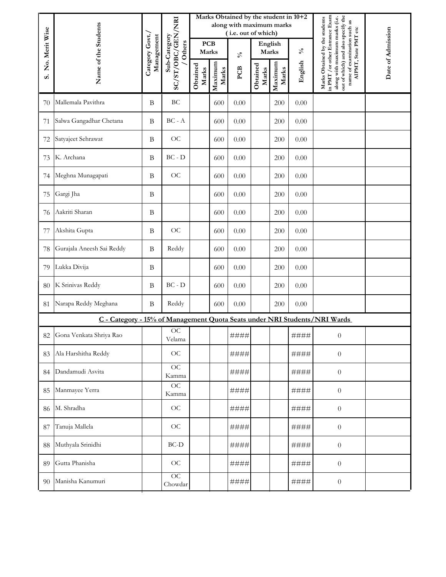|                | Name of the Students                                                      |                               |                          |                     |                  | Marks Obtained by the student in 10+2<br>along with maximum marks<br>(i.e. out of which) |                   |                  |                 |                                                                                                                                                                                               |                   |
|----------------|---------------------------------------------------------------------------|-------------------------------|--------------------------|---------------------|------------------|------------------------------------------------------------------------------------------|-------------------|------------------|-----------------|-----------------------------------------------------------------------------------------------------------------------------------------------------------------------------------------------|-------------------|
| No. Merit Wise |                                                                           | Category Govt./<br>Management | Sub-Category<br>/ Others | <b>PCB</b><br>Marks |                  | $\mathcal{S}_0$                                                                          | English<br>Marks  |                  | $\mathcal{S}_0$ |                                                                                                                                                                                               |                   |
| ဖ              |                                                                           |                               | SC/ST/OBC/GEN/NRI        | Obtained<br>Marks   | Maximum<br>Marks | PCB                                                                                      | Obtained<br>Marks | Maximum<br>Marks | English         | Marks Obtained by the students in PMT / or other Entrance Exam<br>out of which) and also specify the<br>along with maximum marks (i.e.<br>name of examination such as<br>AIPMT, State PMT etc | Date of Admission |
| 70             | Mallemala Pavithra                                                        | $\, {\bf B}$                  | $\operatorname{BC}$      |                     | 600              | 0.00                                                                                     |                   | 200              | 0.00            |                                                                                                                                                                                               |                   |
| 71             | Salwa Gangadhar Chetana                                                   | $\bf{B}$                      | $BC - A$                 |                     | 600              | 0.00                                                                                     |                   | 200              | 0.00            |                                                                                                                                                                                               |                   |
| 72             | Satyajeet Sehrawat                                                        | $\, {\bf B}$                  | OC                       |                     | 600              | 0.00                                                                                     |                   | 200              | 0.00            |                                                                                                                                                                                               |                   |
| 73             | K. Archana                                                                | $\, {\bf B}$                  | $BC - D$                 |                     | 600              | 0.00                                                                                     |                   | 200              | 0.00            |                                                                                                                                                                                               |                   |
| 74             | Meghna Munagapati                                                         | $\, {\bf B}$                  | OC                       |                     | 600              | 0.00                                                                                     |                   | 200              | 0.00            |                                                                                                                                                                                               |                   |
| 75             | Gargi Jha                                                                 | $\bf{B}$                      |                          |                     | 600              | 0.00                                                                                     |                   | 200              | 0.00            |                                                                                                                                                                                               |                   |
| 76             | Aakriti Sharan                                                            | $\, {\bf B}$                  |                          |                     | 600              | 0.00                                                                                     |                   | 200              | 0.00            |                                                                                                                                                                                               |                   |
| 77             | Akshita Gupta                                                             | $\, {\bf B}$                  | OC                       |                     | 600              | 0.00                                                                                     |                   | 200              | 0.00            |                                                                                                                                                                                               |                   |
| 78             | Gurajala Aneesh Sai Reddy                                                 | $\, {\bf B}$                  | Reddy                    |                     | 600              | 0.00                                                                                     |                   | 200              | 0.00            |                                                                                                                                                                                               |                   |
| 79             | Lukka Divija                                                              | B                             |                          |                     | 600              | 0.00                                                                                     |                   | 200              | 0.00            |                                                                                                                                                                                               |                   |
| 80             | K Srinivas Reddy                                                          | $\bf{B}$                      | $BC - D$                 |                     | 600              | 0.00                                                                                     |                   | 200              | 0.00            |                                                                                                                                                                                               |                   |
| 81             | Narapa Reddy Meghana                                                      | $\, {\bf B}$                  | Reddy                    |                     | 600              | 0.00                                                                                     |                   | 200              | 0.00            |                                                                                                                                                                                               |                   |
|                | C - Category - 15% of Management Quota Seats under NRI Students/NRI Wards |                               |                          |                     |                  |                                                                                          |                   |                  |                 |                                                                                                                                                                                               |                   |
| 82             | Gona Venkata Shriya Rao                                                   |                               | OC<br>Velama             |                     |                  | ####                                                                                     |                   |                  | ####            | $\boldsymbol{0}$                                                                                                                                                                              |                   |
| 83             | Ala Harshitha Reddy                                                       |                               | OC                       |                     |                  | ####                                                                                     |                   |                  | ####            | $\boldsymbol{0}$                                                                                                                                                                              |                   |
| 84             | Dandamudi Asvita                                                          |                               | OC<br>Kamma              |                     |                  | ####                                                                                     |                   |                  | ####            | $\boldsymbol{0}$                                                                                                                                                                              |                   |
| 85             | Manmayee Yerra                                                            |                               | OC<br>Kamma              |                     |                  | ####                                                                                     |                   |                  | ####            | $\boldsymbol{0}$                                                                                                                                                                              |                   |
| 86             | M. Shradha                                                                |                               | OC                       |                     |                  | ####                                                                                     |                   |                  | ####            | $\boldsymbol{0}$                                                                                                                                                                              |                   |
| 87             | Tanuja Mallela                                                            |                               | OC                       |                     |                  | ####                                                                                     |                   |                  | ####            | $\boldsymbol{0}$                                                                                                                                                                              |                   |
| 88             | Muthyala Srinidhi                                                         |                               | $BC-D$                   |                     |                  | ####                                                                                     |                   |                  | ####            | $\boldsymbol{0}$                                                                                                                                                                              |                   |
| 89             | Gutta Phanisha                                                            |                               | OC                       |                     |                  | ####                                                                                     |                   |                  | ####            | $\boldsymbol{0}$                                                                                                                                                                              |                   |
| 90             | Manisha Kanumuri                                                          |                               | OC<br>Chowdar            |                     |                  | ####                                                                                     |                   |                  | ####            | $\boldsymbol{0}$                                                                                                                                                                              |                   |